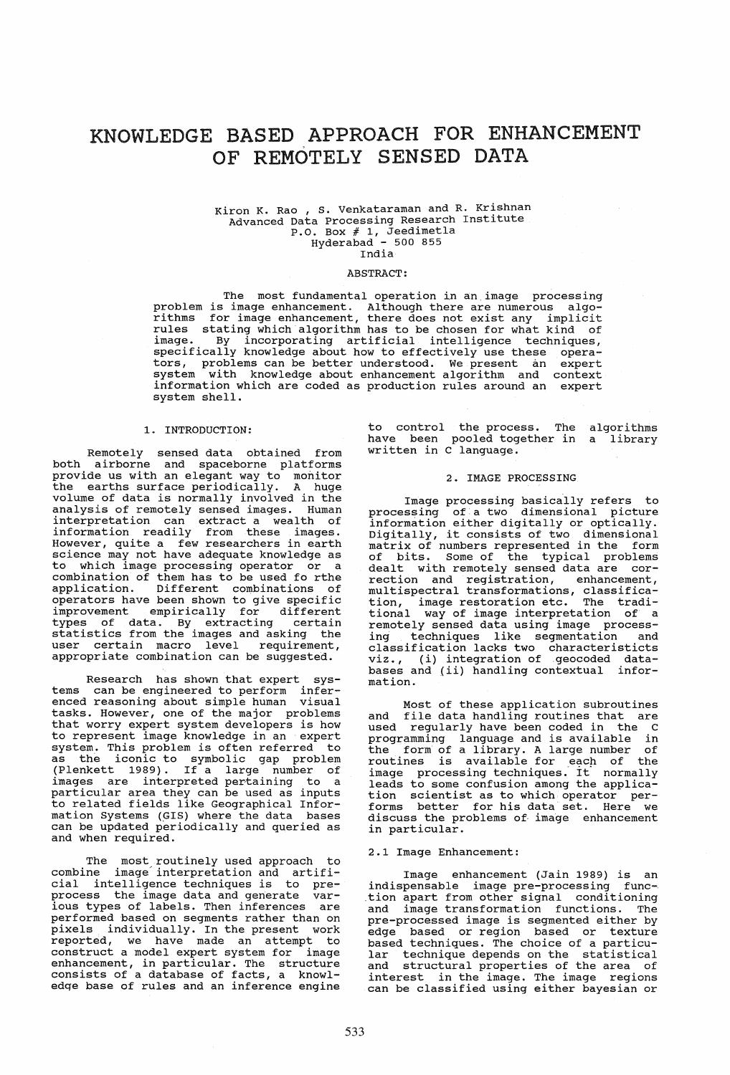# KNOWLEDGE BASED APPROACH FOR ENHANCEMENT OF REMOTELY SENSED DATA

# Kiron K. Rao , S. Venkataraman and R. Krishnan<br>Advanced Data Processing Research Institute  $P.0.$  Box  $# 1,$  Jeedimetla Hyderabad - 500 855 India

#### ABSTRACT:

The most fundamental operation in an. image processing problem is image enhancement. Although there are numerous algorithms for image enhancement, there does not exist any implicit rules stating which algorithm has to be chosen for what kind of image. By incorporating artificial intelligence techniques, specifically knowledge about how to effectively use these operators, problems can be better understood. We present an expert system with knowledge about enhancement algorithm and context system with knowledge about enhancement algorithm and context information which are coded as production rules around an expert system shell.

#### 1. INTRODUCTION:

Remotely sensed data obtained from both airborne and spaceborne platforms provide us with an elegant way to monitor the earths surface periodically. A huge volume of data is normally involved in the analysis of remotely sensed images. Human interpretation can extract a wealth of information readily from these images. However, quite a few researchers in earth science may not have adequate knowledge as to which image processing operator or a combination of them has to be used fo rthe application. Different combinations of operators have been shown to give specific improvement empirically for different types of data. By extracting certain statistics from the images and asking the user certain macro level requirement, user certain macro level requirement,<br>appropriate combination can be suggested.

Research has shown that expert systems can be engineered to perform infer-<br>enced reasoning about simple human visual enced reasoning about simple human tasks. However, one of the major problems that worry expert system developers is how to represent image knowledge in an expert<br>system. This problem is often referred to system. This problem is often referred to as the iconic to symbolic gap problem (Plenkett 1989). If a large number of images are interpreted pertaining to a particular area they can be used as inputs to related fields like Geographical Information Systems (GIS) where the data bases can be updated periodically and queried as and when required.

The most routinely used approach to combine image' interpretation and artificial intelligence techniques is to preprocess the image data and generate var-<br>ious types of labels. Then inferences are<br>performed based on segments rather than on<br>pixels individually. In the present work reported, we have made an attempt to construct a model expert system for image enhancement, in particular. The structure consists of a database of facts, a knowledqe base of rules and an inference engine

to control the process. The have been pooled together in written in C language. algorithms a library

### 2. IMAGE PROCESSING

Image processing basically refers to I image processing basically felers to<br>processing of a two dimensional picture information either digitally or optically. Digitally, it consists of two dimensional matrix of numbers represented in the form of bits. Some of the typical problems dealt with remotely sensed data are cormultispectral transformations, classification, image restoration etc. The traditional way of image interpretation of a remotely sensed data using image processremotely sensed data using image process-<br>ing techniques like segmentation and classification lacks two characteristicts viz., (i) integration ofgeocoded databases and (ii) handling contextual information.

Most of these application subroutines and file data handling routines that are used regularly have been coded in the C programming language and is available in the form of a library. A large number of routines is available for each of the image processing techniques. It normally leads to some confusion among the application scientist as to which operator performs better for his data set. Here we<br>discuss the problems of image enhancement discuss the problems of image enhancement<br>in particular.

#### 2.1 Image Enhancement:

Image enhancement (Jain 1989) is an indispensable image pre-processing function apart from other signal conditioning and image transformation functions. The pre-processed image is segmented either by edge based or region based or texture based techniques. The choice of a particubased techniques. The choice of a particu-<br>lar technique depends on the statistical and structural properties of the area of interest in the image. The image regions can be classified using either bayesian or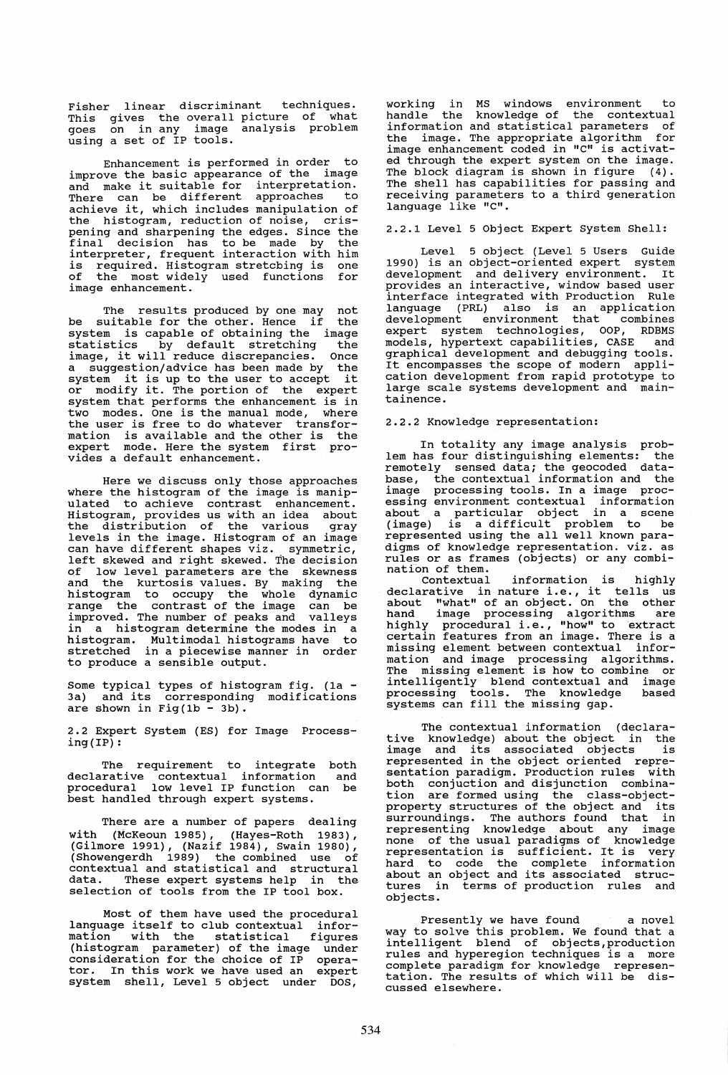Fisher linear discriminant techniques. This gives the overall picture of what goes on in any image analysis problem using a set of IP tools.

Enhancement is performed in order to improve the basic appearance of the image and make it suitable for interpretation. There can be different approaches to achieve it, which includes manipulation of the histogram, reduction of noise, crispening and sharpening the edges. Since the final decision has to be made by the interpreter, frequent interaction with him is required. Histogram stretcbing is one of the most widely used functions for image enhancement.

The results produced by one may not be suitable for the other. Hence if the be suitable for the other. Hence if the<br>system is capable of obtaining the image<br>statistics by default stretching the statistics by default stretching the<br>image, it will reduce discrepancies. Once statistics by default stretching the<br>image, it will reduce discrepancies. Once<br>a suggestion/advice has been made by the a suggestion/advice has been made by the<br>system it is up to the user to accept it<br>or modify it. The portion of the expert system that performs the enhancement is in two modes. One is the manual mode, where the user is free to do whatever transformation is available and the other is the expert mode. Here the system first provides a default enhancement.

Here we discuss only those approaches where the histogram of the image is manipulated to achieve contrast enhancement. Histogram, provides us with an idea about the distribution of the various gray levels in the image. Histogram of an image can have different shapes viz. symmetric, left skewed and right skewed. The decision qf low level parameters are the skewness and the kurtosis values. By making the histogram to occupy the whole dynamic range the contrast of the image can be improved. The number of peaks and valleys in a histogram determine the modes in a histogram. Multimodal histograms have to histogram. Multimodal histograms have to<br>stretched in a piecewise manner in order to produce a sensible output.

Some typical types of histogram fig. (1a - 3a) and its corresponding modifications are shown in Fig(1b - 3b).

2.2 Expert System (ES) for Image Processing(IP) :

The requirement to integrate both<br>Irative contextual information and declarative contextual information and procedural low level IP function can be best handled through expert systems.

There are a number of papers dealing with (McKeoun 1985), (Hayes-Roth 1983) (Gilmore 1991), (Nazif 1984), Swain 1980),<br>(Showengerdh 1989) the combined use of contextual and statistical and structural data. These expert systems help in the selection of tools from the IP tool box.

Most of them have used the procedural language itself to club contextual infor mation with the statistical figures (histogram parameter) of the image under consideration for the choice of IP opera-tor. In this work we have used an expert system shell, Level 5 object under DOS,

working in MS windows environment to handle the knowledge of the contextual information and statistical parameters of the image. The appropriate algorithm for image enhancement coded in "C" is activated through the expert system on the image. The block diagram is shown in figure  $(4)$ . The shell has capabilities for passing and receiving parameters to a third generation language like "C".

2.2.1 Level 5 Object Expert System Shell:

Level 5 object (Level 5 Users Guide 1990) is an object-oriented expert system development and delivery environment. It provides an interactive, window based user interface integrated with Production Rule language (PRL) also is an application development environment that combines expert system technologies, OOP, RDBMS models, hypertext capabilities, CASE and graphical development and debugging tools. It encompasses the scope of modern application development from rapid prototype to large scale systems development and maintainence.

### 2.2.2 Knowledge representation:

In totality any image analysis problem has four distinguishing elements: the remotely sensed data; the geocoded database, the contextual information and the image processing tools. In a image processing environment contextual information about a particular object in a scene (image) is a difficult problem to be represented using the all well known paradigms of knowledge representation. viz. as rules or as frames (objects) or any combination of them.

Contextual information is highly declarative in nature i.e., it tells us about "what" of an object. On the other hand image processing algorithms are<br>highly procedural i.e., "how" to extract certain features from an image. There is a missing element between contextual informissing element between contextual infor-<br>mation and image processing algorithms.<br>The missing element is how to combine or The missing element is now to companie intelligently blend contextual and image<br>intelligently blend contextual and image<br>processing tools. The knowledge based processing tools. The knowledge systems can fill the missing gap.

The contextual information (declara-tive knowledge) about the object in the image and its associated objects is represented in the object oriented representation paradigm. Production rules with both conjuction and disjunction combination are formed using the class-object-property structures of the object and its surroundings. The authors found that in representing knowledge about any image<br>representing knowledge about any image<br>none of the usual paradigms of knowledge none of the usual parauigms of Knowledge<br>representation is sufficient. It is very hard to code the complete information about an object and its associated structures in terms of production rules and objects.

Presently we have found a novel way to solve this problem. We found that a intelligent blend of objects,production rules and hyperegion techniques is a more complete paradigm for knowledge representation. The results of which will be discussed elsewhere.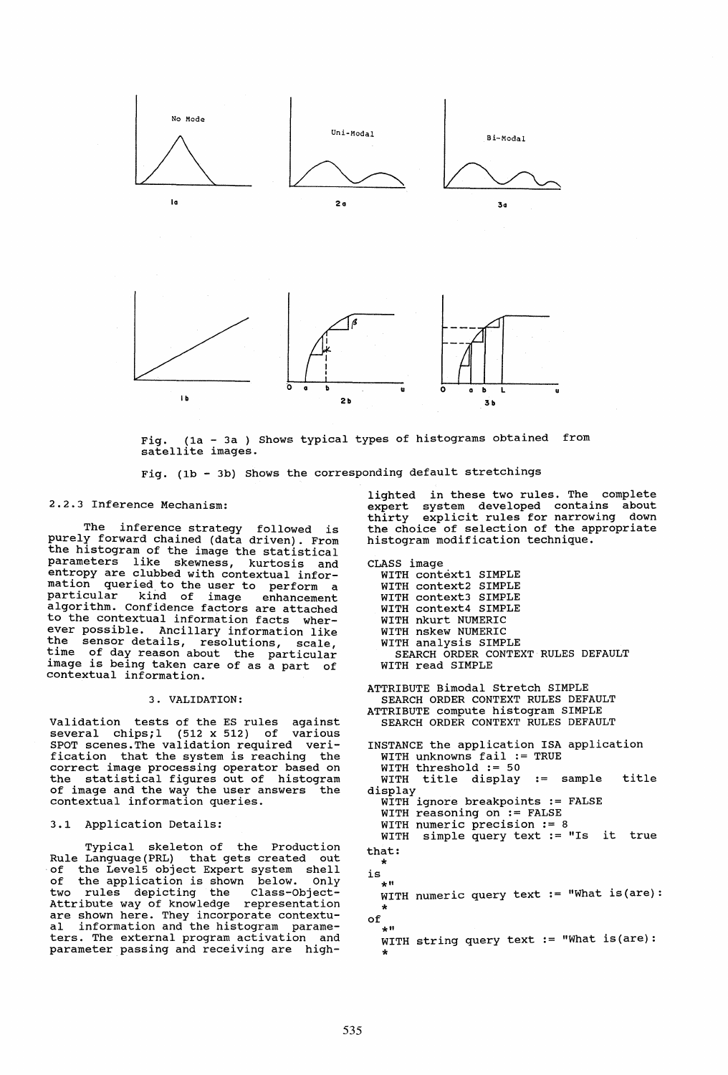

Fig. (la - 3a ) Shows typical types of histograms obtained from satellite images.

Fig. (lb - 3b) Shows the corresponding default stretchings

#### 2.2.3 Inference Mechanism:

The inference strategy followed is purely forward chained (data driven). From the histogram of the image the statistical parameters like skewness, kurtosis and entropy are clubbed with contextual information queried. to the user to perform a mention particular kind of image enhancement algorithm. Confidence factors are attached to the contextual information facts wherever possible. Ancillary information like the sensor details, resolutions, scale, time of day reason about the particular<br>image is being taken care of as a part of image is being taken care of as a part of<br>contextual information.

#### 3. VALIDATION:

Validation tests of the ES rules against several chips; 1 (512 x 512) of various SPOT scenes. The validation required veri-<br>fication that the system is reaching the fication that the system is reaching correct image processing operator based on the statistical figures out of histogram of image and the way the user answers the contextual information queries.

## 3.1 Application Details:

Typical skeleton of the Production Rule Language(PRL) that gets created out of the Level5 object Expert system shell<br>of the application is shown below. Only the application is shown below. two rules depicting the Class-Object-Attribute way of knowledge representation are shown here. They incorporate contextual information and the histogram parameters. The external program activation and parameter passing and receiving are highlighted in these two rules. The complete expert system developed contains about thirty explicit rules for narrowing down the choice of selection of the appropriate histogram modification technique.

CLASS image WITH context1 SIMPLE WITH context2 SIMPLE WITH context3 SIMPLE WITH context4 SIMPLE WITH nkurt NUMERIC WITH nskew NUMERIC WITH analysis SIMPLE SEARCH ORDER CONTEXT RULES DEFAULT WITH read SIMPLE

ATTRIBUTE Bimodal Stretch SIMPLE SEARCH ORDER CONTEXT RULES DEFAULT ATTRIBUTE compute histogram SIMPLE SEARCH ORDER CONTEXT RULES DEFAULT

INSTANCE the application ISA application WITH unknowns fail := TRUE WITH threshold := 50 WITH title display := sample title display WITH ignore breakpoints := FALSE WITH reasoning on := FALSE WITH numeric precision := 8 WITH simple query text := "Is it true that: is of \* WITH numeric query text  $:=$  "What is(are): \* WITH string query text  $:=$  "What is(are): \*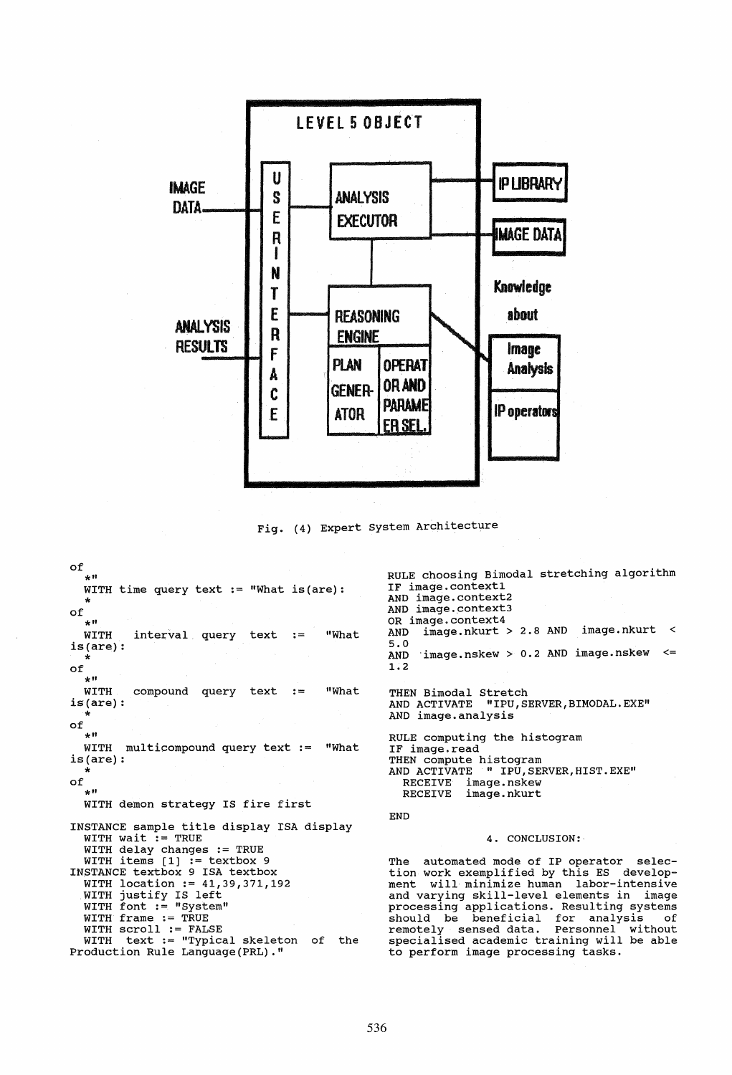

Fig. (4) Expert System Architecture

of  $\star$  H WITH time query text := "What is (are): of  $\pm$  H **WITH** "What interval query text :=  $is(are):$ of  $4.11$ WITH compound query  $text$ := "What  $is(are):$ of  $+11$ WITH multicompound query text := "What  $is(are):$  $of$ .<br>\* 11 WITH demon strategy IS fire first INSTANCE sample title display ISA display WITH wait := TRUE<br>WITH delay changes := TRUE<br>WITH delay changes := TRUE WITH items  $[1]$  := textbox 9 INSTANCE textbox 9 ISA textbox WITH location := 41,39,371,192 WITH justify IS left<br>WITH font := "System" WITH frame := TRUE WITH SCroll := FALSE<br>WITH SCroll := FALSE<br>WITH text := "Typical skeleton of the Production Rule Language (PRL) ."

RULE choosing Bimodal stretching algorithm IF image.context1 AND image.context2 AND image.context3 OR image.context4 image.nkurt > 2.8 AND image.nkurt < **AND**  $5.0$  $image.nskew > 0.2$  AND  $image.nskew \leq$ **AND**  $1:2$ THEN Bimodal Stretch AND ACTIVATE "IPU, SERVER, BIMODAL. EXE" AND image.analysis RULE computing the histogram IF image.read THEN compute histogram<br>AND ACTIVATE " IPU, SERVER, HIST. EXE" RECEIVE image.nskew<br>RECEIVE image.nkurt  ${\tt END}$ 4. CONCLUSION:

The automated mode of IP operator selection work exemplified by this ES development will minimize human labor-intensive and varying skill-level elements in image<br>processing applications. Resulting systems should be beneficial for analysis of<br>remotely sensed data. Personnel without<br>specialised academic training will be able to perform image processing tasks.